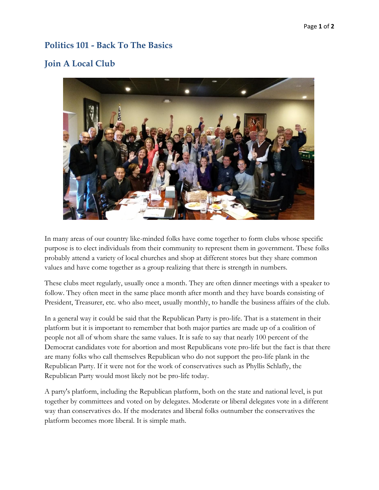## **Politics 101 - Back To The Basics**

## **Join A Local Club**



In many areas of our country like-minded folks have come together to form clubs whose specific purpose is to elect individuals from their community to represent them in government. These folks probably attend a variety of local churches and shop at different stores but they share common values and have come together as a group realizing that there is strength in numbers.

These clubs meet regularly, usually once a month. They are often dinner meetings with a speaker to follow. They often meet in the same place month after month and they have boards consisting of President, Treasurer, etc. who also meet, usually monthly, to handle the business affairs of the club.

In a general way it could be said that the Republican Party is pro-life. That is a statement in their platform but it is important to remember that both major parties are made up of a coalition of people not all of whom share the same values. It is safe to say that nearly 100 percent of the Democrat candidates vote for abortion and most Republicans vote pro-life but the fact is that there are many folks who call themselves Republican who do not support the pro-life plank in the Republican Party. If it were not for the work of conservatives such as Phyllis Schlafly, the Republican Party would most likely not be pro-life today.

A party's platform, including the Republican platform, both on the state and national level, is put together by committees and voted on by delegates. Moderate or liberal delegates vote in a different way than conservatives do. If the moderates and liberal folks outnumber the conservatives the platform becomes more liberal. It is simple math.